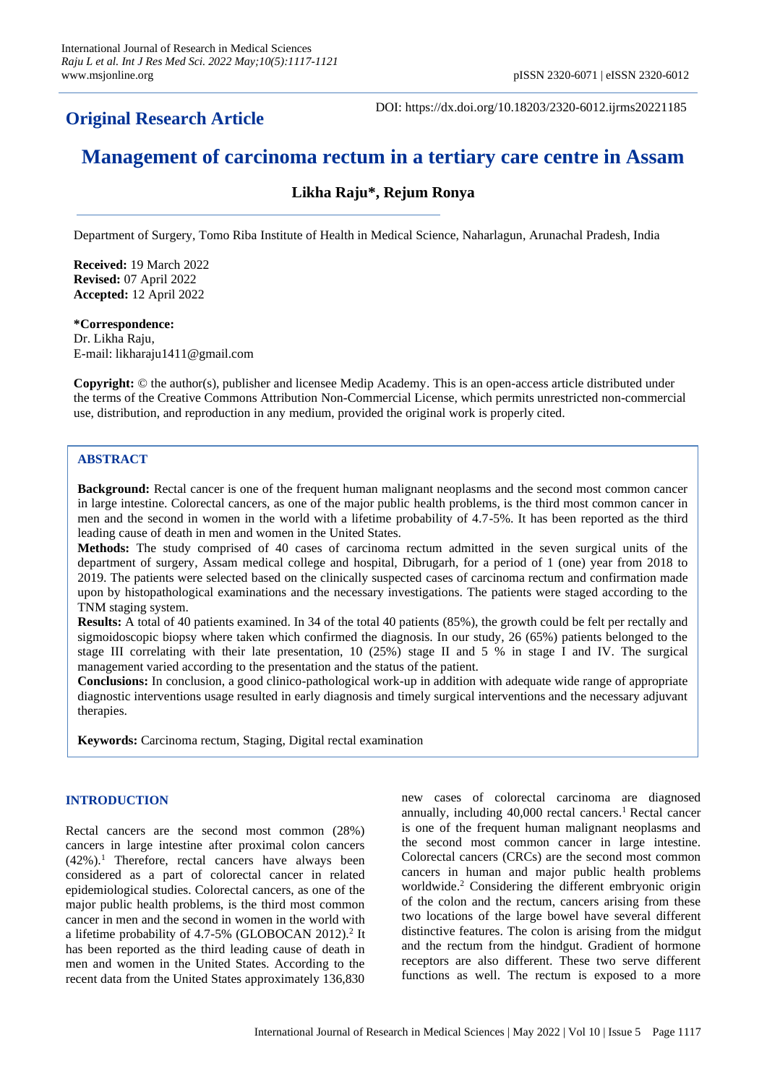# **Original Research Article**

DOI: https://dx.doi.org/10.18203/2320-6012.ijrms20221185

# **Management of carcinoma rectum in a tertiary care centre in Assam**

# **Likha Raju\*, Rejum Ronya**

Department of Surgery, Tomo Riba Institute of Health in Medical Science, Naharlagun, Arunachal Pradesh, India

**Received:** 19 March 2022 **Revised:** 07 April 2022 **Accepted:** 12 April 2022

# **\*Correspondence:** Dr. Likha Raju, E-mail: likharaju1411@gmail.com

**Copyright:** © the author(s), publisher and licensee Medip Academy. This is an open-access article distributed under the terms of the Creative Commons Attribution Non-Commercial License, which permits unrestricted non-commercial use, distribution, and reproduction in any medium, provided the original work is properly cited.

# **ABSTRACT**

**Background:** Rectal cancer is one of the frequent human malignant neoplasms and the second most common cancer in large intestine. Colorectal cancers, as one of the major public health problems, is the third most common cancer in men and the second in women in the world with a lifetime probability of 4.7-5%. It has been reported as the third leading cause of death in men and women in the United States.

**Methods:** The study comprised of 40 cases of carcinoma rectum admitted in the seven surgical units of the department of surgery, Assam medical college and hospital, Dibrugarh, for a period of 1 (one) year from 2018 to 2019. The patients were selected based on the clinically suspected cases of carcinoma rectum and confirmation made upon by histopathological examinations and the necessary investigations. The patients were staged according to the TNM staging system.

**Results:** A total of 40 patients examined. In 34 of the total 40 patients (85%), the growth could be felt per rectally and sigmoidoscopic biopsy where taken which confirmed the diagnosis. In our study, 26 (65%) patients belonged to the stage III correlating with their late presentation, 10 (25%) stage II and 5 % in stage I and IV. The surgical management varied according to the presentation and the status of the patient.

**Conclusions:** In conclusion, a good clinico-pathological work-up in addition with adequate wide range of appropriate diagnostic interventions usage resulted in early diagnosis and timely surgical interventions and the necessary adjuvant therapies.

**Keywords:** Carcinoma rectum, Staging, Digital rectal examination

# **INTRODUCTION**

Rectal cancers are the second most common (28%) cancers in large intestine after proximal colon cancers  $(42\%)$ .<sup>1</sup> Therefore, rectal cancers have always been considered as a part of colorectal cancer in related epidemiological studies. Colorectal cancers, as one of the major public health problems, is the third most common cancer in men and the second in women in the world with a lifetime probability of  $4.7\n-5\%$  (GLOBOCAN 2012).<sup>2</sup> It has been reported as the third leading cause of death in men and women in the United States. According to the recent data from the United States approximately 136,830 new cases of colorectal carcinoma are diagnosed annually, including  $40,000$  rectal cancers.<sup>1</sup> Rectal cancer is one of the frequent human malignant neoplasms and the second most common cancer in large intestine. Colorectal cancers (CRCs) are the second most common cancers in human and major public health problems worldwide.<sup>2</sup> Considering the different embryonic origin of the colon and the rectum, cancers arising from these two locations of the large bowel have several different distinctive features. The colon is arising from the midgut and the rectum from the hindgut. Gradient of hormone receptors are also different. These two serve different functions as well. The rectum is exposed to a more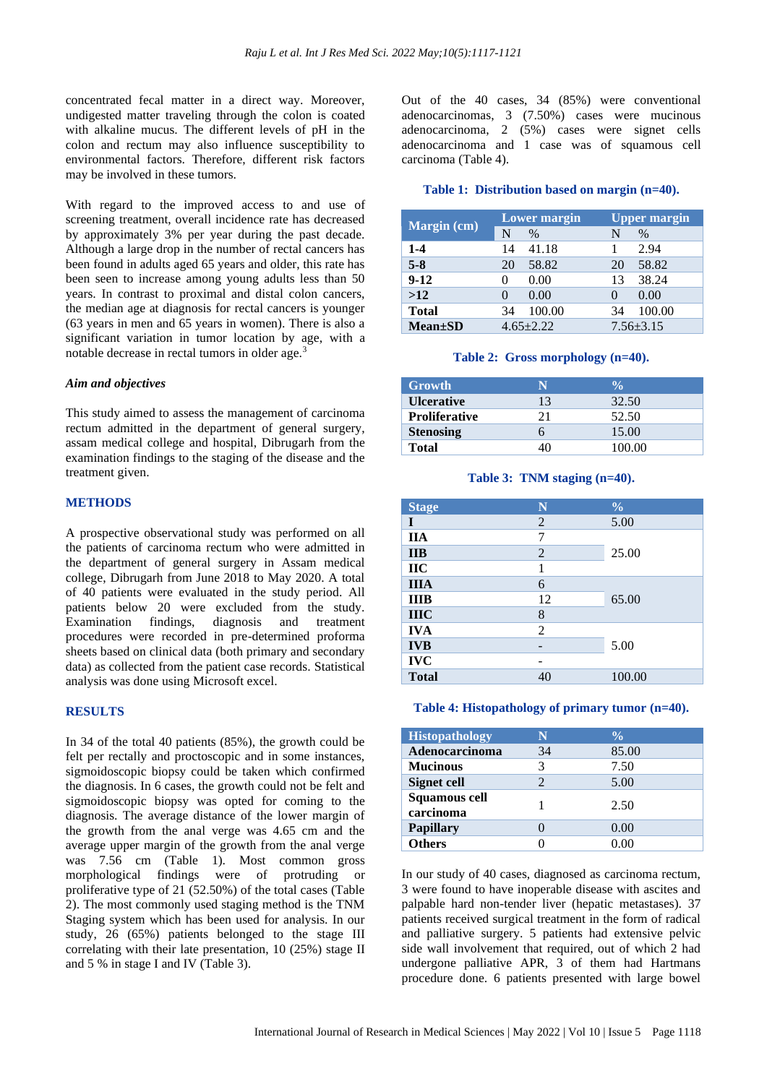concentrated fecal matter in a direct way. Moreover, undigested matter traveling through the colon is coated with alkaline mucus. The different levels of pH in the colon and rectum may also influence susceptibility to environmental factors. Therefore, different risk factors may be involved in these tumors.

With regard to the improved access to and use of screening treatment, overall incidence rate has decreased by approximately 3% per year during the past decade. Although a large drop in the number of rectal cancers has been found in adults aged 65 years and older, this rate has been seen to increase among young adults less than 50 years. In contrast to proximal and distal colon cancers, the median age at diagnosis for rectal cancers is younger (63 years in men and 65 years in women). There is also a significant variation in tumor location by age, with a notable decrease in rectal tumors in older age.<sup>3</sup>

#### *Aim and objectives*

This study aimed to assess the management of carcinoma rectum admitted in the department of general surgery, assam medical college and hospital, Dibrugarh from the examination findings to the staging of the disease and the treatment given.

# **METHODS**

A prospective observational study was performed on all the patients of carcinoma rectum who were admitted in the department of general surgery in Assam medical college, Dibrugarh from June 2018 to May 2020. A total of 40 patients were evaluated in the study period. All patients below 20 were excluded from the study. Examination findings, diagnosis and treatment procedures were recorded in pre-determined proforma sheets based on clinical data (both primary and secondary data) as collected from the patient case records. Statistical analysis was done using Microsoft excel.

## **RESULTS**

In 34 of the total 40 patients (85%), the growth could be felt per rectally and proctoscopic and in some instances, sigmoidoscopic biopsy could be taken which confirmed the diagnosis. In 6 cases, the growth could not be felt and sigmoidoscopic biopsy was opted for coming to the diagnosis. The average distance of the lower margin of the growth from the anal verge was 4.65 cm and the average upper margin of the growth from the anal verge was 7.56 cm (Table 1). Most common gross morphological findings were of protruding or proliferative type of 21 (52.50%) of the total cases (Table 2). The most commonly used staging method is the TNM Staging system which has been used for analysis. In our study, 26 (65%) patients belonged to the stage III correlating with their late presentation, 10 (25%) stage II and 5 % in stage I and IV (Table 3).

Out of the 40 cases, 34 (85%) were conventional adenocarcinomas, 3 (7.50%) cases were mucinous adenocarcinoma, 2 (5%) cases were signet cells adenocarcinoma and 1 case was of squamous cell carcinoma (Table 4).

#### **Table 1: Distribution based on margin (n=40).**

| Margin (cm)   | <b>Lower margin</b> |               |                   | <b>Upper margin</b> |  |
|---------------|---------------------|---------------|-------------------|---------------------|--|
|               | N                   | $\frac{0}{0}$ | N                 | $\%$                |  |
| $1 - 4$       | 14                  | 41.18         |                   | 2.94                |  |
| $5 - 8$       | 20                  | 58.82         | 20                | 58.82               |  |
| $9 - 12$      |                     | 0.00          | 13                | 38.24               |  |
| >12           |                     | 0.00          | $\mathbf{\Omega}$ | 0.00                |  |
| <b>Total</b>  | 34                  | 100.00        | 34                | 100.00              |  |
| $Mean \pm SD$ |                     | $4.65 + 2.22$ |                   | $7.56 + 3.15$       |  |

#### **Table 2: Gross morphology (n=40).**

| Growth               | N  | $\mathcal{V}_0$ |  |
|----------------------|----|-----------------|--|
| <b>Ulcerative</b>    | 13 | 32.50           |  |
| <b>Proliferative</b> | 21 | 52.50           |  |
| <b>Stenosing</b>     |    | 15.00           |  |
| Total                |    | 100.00          |  |

#### **Table 3: TNM staging (n=40).**

| <b>Stage</b> | N                        | $\frac{6}{6}$ |  |
|--------------|--------------------------|---------------|--|
| I            | 2                        | 5.00          |  |
| <b>IIA</b>   | 7                        |               |  |
| <b>IIB</b>   | $\overline{2}$           | 25.00         |  |
| <b>IIC</b>   |                          |               |  |
| <b>IIIA</b>  | 6                        |               |  |
| <b>IIIB</b>  | 12                       | 65.00         |  |
| <b>IIIC</b>  | 8                        |               |  |
| <b>IVA</b>   | $\overline{2}$           |               |  |
| <b>IVB</b>   | $\overline{\phantom{0}}$ | 5.00          |  |
| <b>IVC</b>   | -                        |               |  |
| <b>Total</b> | 40                       | 100.00        |  |

#### **Table 4: Histopathology of primary tumor (n=40).**

| <b>Histopathology</b>      |    | $\frac{0}{0}$ |
|----------------------------|----|---------------|
| Adenocarcinoma             | 34 | 85.00         |
| <b>Mucinous</b>            | 3  | 7.50          |
| Signet cell                |    | 5.00          |
| Squamous cell<br>carcinoma |    | 2.50          |
| <b>Papillary</b>           |    | 0.00          |
| <b>Others</b>              |    | 0.00          |

In our study of 40 cases, diagnosed as carcinoma rectum, 3 were found to have inoperable disease with ascites and palpable hard non-tender liver (hepatic metastases). 37 patients received surgical treatment in the form of radical and palliative surgery. 5 patients had extensive pelvic side wall involvement that required, out of which 2 had undergone palliative APR, 3 of them had Hartmans procedure done. 6 patients presented with large bowel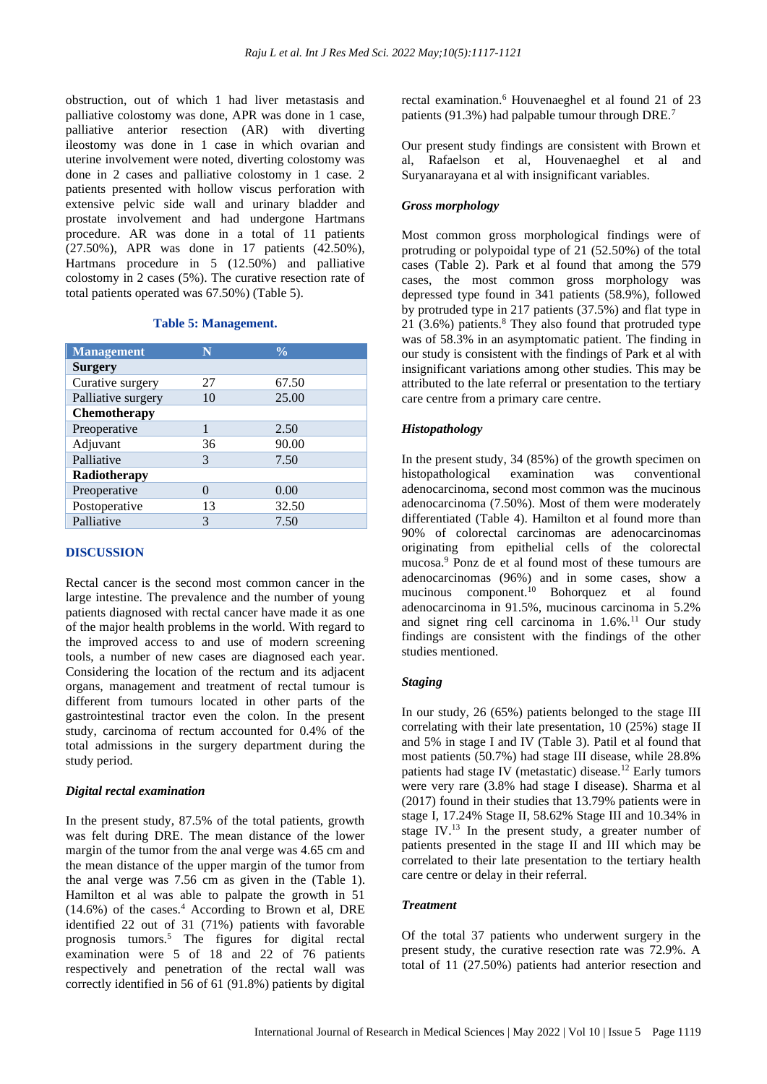obstruction, out of which 1 had liver metastasis and palliative colostomy was done, APR was done in 1 case, palliative anterior resection (AR) with diverting ileostomy was done in 1 case in which ovarian and uterine involvement were noted, diverting colostomy was done in 2 cases and palliative colostomy in 1 case. 2 patients presented with hollow viscus perforation with extensive pelvic side wall and urinary bladder and prostate involvement and had undergone Hartmans procedure. AR was done in a total of 11 patients (27.50%), APR was done in 17 patients (42.50%), Hartmans procedure in 5 (12.50%) and palliative colostomy in 2 cases (5%). The curative resection rate of total patients operated was 67.50%) (Table 5).

#### **Table 5: Management.**

| <b>Management</b>  | N  | $\frac{0}{\sqrt{2}}$ |  |
|--------------------|----|----------------------|--|
| <b>Surgery</b>     |    |                      |  |
| Curative surgery   | 27 | 67.50                |  |
| Palliative surgery | 10 | 25.00                |  |
| Chemotherapy       |    |                      |  |
| Preoperative       | 1  | 2.50                 |  |
| Adjuvant           | 36 | 90.00                |  |
| Palliative         | 3  | 7.50                 |  |
| Radiotherapy       |    |                      |  |
| Preoperative       | 0  | 0.00                 |  |
| Postoperative      | 13 | 32.50                |  |
| Palliative         | 3  | 7.50                 |  |

#### **DISCUSSION**

Rectal cancer is the second most common cancer in the large intestine. The prevalence and the number of young patients diagnosed with rectal cancer have made it as one of the major health problems in the world. With regard to the improved access to and use of modern screening tools, a number of new cases are diagnosed each year. Considering the location of the rectum and its adjacent organs, management and treatment of rectal tumour is different from tumours located in other parts of the gastrointestinal tractor even the colon. In the present study, carcinoma of rectum accounted for 0.4% of the total admissions in the surgery department during the study period.

#### *Digital rectal examination*

In the present study, 87.5% of the total patients, growth was felt during DRE. The mean distance of the lower margin of the tumor from the anal verge was 4.65 cm and the mean distance of the upper margin of the tumor from the anal verge was 7.56 cm as given in the (Table 1). Hamilton et al was able to palpate the growth in 51  $(14.6\%)$  of the cases. $4$  According to Brown et al, DRE identified 22 out of 31 (71%) patients with favorable prognosis tumors.<sup>5</sup> The figures for digital rectal examination were 5 of 18 and 22 of 76 patients respectively and penetration of the rectal wall was correctly identified in 56 of 61 (91.8%) patients by digital

rectal examination.<sup>6</sup> Houvenaeghel et al found 21 of 23 patients (91.3%) had palpable tumour through DRE.<sup>7</sup>

Our present study findings are consistent with Brown et al, Rafaelson et al, Houvenaeghel et al and Suryanarayana et al with insignificant variables.

# *Gross morphology*

Most common gross morphological findings were of protruding or polypoidal type of 21 (52.50%) of the total cases (Table 2). Park et al found that among the 579 cases, the most common gross morphology was depressed type found in 341 patients (58.9%), followed by protruded type in 217 patients (37.5%) and flat type in 21 (3.6%) patients. $8$  They also found that protruded type was of 58.3% in an asymptomatic patient. The finding in our study is consistent with the findings of Park et al with insignificant variations among other studies. This may be attributed to the late referral or presentation to the tertiary care centre from a primary care centre.

# *Histopathology*

In the present study, 34 (85%) of the growth specimen on histopathological examination was conventional adenocarcinoma, second most common was the mucinous adenocarcinoma (7.50%). Most of them were moderately differentiated (Table 4). Hamilton et al found more than 90% of colorectal carcinomas are adenocarcinomas originating from epithelial cells of the colorectal mucosa.<sup>9</sup> Ponz de et al found most of these tumours are adenocarcinomas (96%) and in some cases, show a mucinous component.<sup>10</sup> Bohorquez et al found adenocarcinoma in 91.5%, mucinous carcinoma in 5.2% and signet ring cell carcinoma in  $1.6\%$ .<sup>11</sup> Our study findings are consistent with the findings of the other studies mentioned.

#### *Staging*

In our study, 26 (65%) patients belonged to the stage III correlating with their late presentation, 10 (25%) stage II and 5% in stage I and IV (Table 3). Patil et al found that most patients (50.7%) had stage III disease, while 28.8% patients had stage IV (metastatic) disease.<sup>12</sup> Early tumors were very rare (3.8% had stage I disease). Sharma et al (2017) found in their studies that 13.79% patients were in stage I, 17.24% Stage II, 58.62% Stage III and 10.34% in stage IV.<sup>13</sup> In the present study, a greater number of patients presented in the stage II and III which may be correlated to their late presentation to the tertiary health care centre or delay in their referral.

#### *Treatment*

Of the total 37 patients who underwent surgery in the present study, the curative resection rate was 72.9%. A total of 11 (27.50%) patients had anterior resection and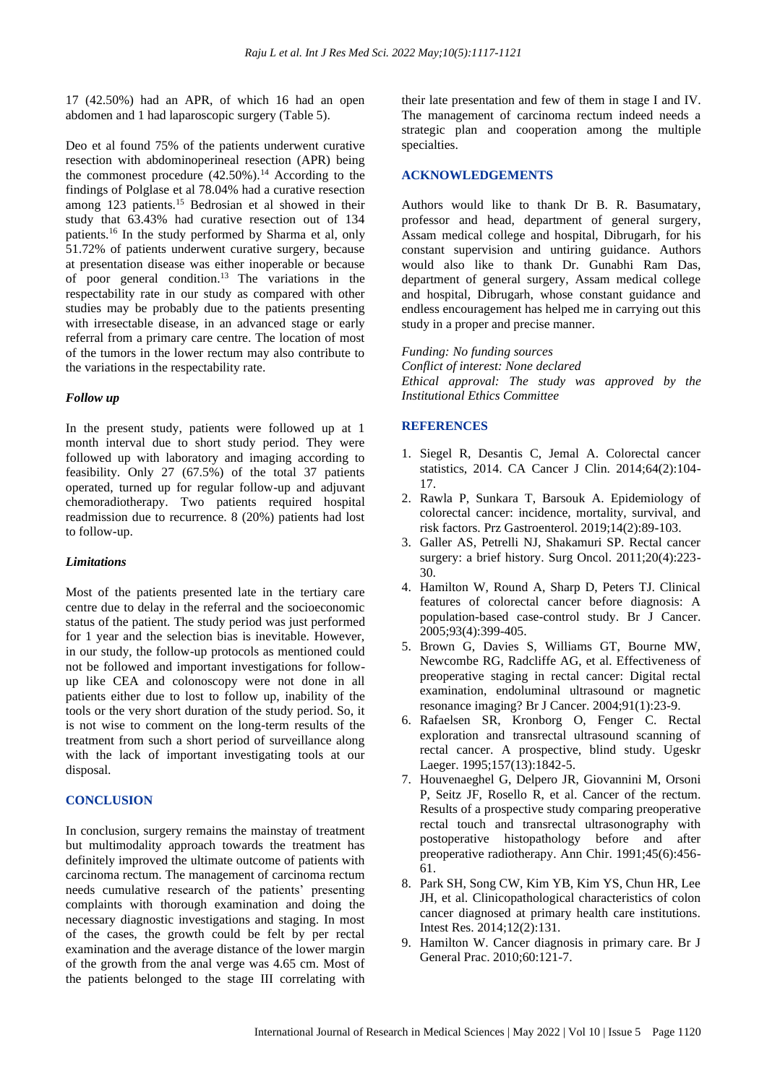17 (42.50%) had an APR, of which 16 had an open abdomen and 1 had laparoscopic surgery (Table 5).

Deo et al found 75% of the patients underwent curative resection with abdominoperineal resection (APR) being the commonest procedure  $(42.50\%)$ .<sup>14</sup> According to the findings of Polglase et al 78.04% had a curative resection among 123 patients.<sup>15</sup> Bedrosian et al showed in their study that 63.43% had curative resection out of 134 patients.<sup>16</sup> In the study performed by Sharma et al, only 51.72% of patients underwent curative surgery, because at presentation disease was either inoperable or because of poor general condition.<sup>13</sup> The variations in the respectability rate in our study as compared with other studies may be probably due to the patients presenting with irresectable disease, in an advanced stage or early referral from a primary care centre. The location of most of the tumors in the lower rectum may also contribute to the variations in the respectability rate.

#### *Follow up*

In the present study, patients were followed up at 1 month interval due to short study period. They were followed up with laboratory and imaging according to feasibility. Only 27 (67.5%) of the total 37 patients operated, turned up for regular follow-up and adjuvant chemoradiotherapy. Two patients required hospital readmission due to recurrence. 8 (20%) patients had lost to follow-up.

#### *Limitations*

Most of the patients presented late in the tertiary care centre due to delay in the referral and the socioeconomic status of the patient. The study period was just performed for 1 year and the selection bias is inevitable. However, in our study, the follow-up protocols as mentioned could not be followed and important investigations for followup like CEA and colonoscopy were not done in all patients either due to lost to follow up, inability of the tools or the very short duration of the study period. So, it is not wise to comment on the long-term results of the treatment from such a short period of surveillance along with the lack of important investigating tools at our disposal.

# **CONCLUSION**

In conclusion, surgery remains the mainstay of treatment but multimodality approach towards the treatment has definitely improved the ultimate outcome of patients with carcinoma rectum. The management of carcinoma rectum needs cumulative research of the patients' presenting complaints with thorough examination and doing the necessary diagnostic investigations and staging. In most of the cases, the growth could be felt by per rectal examination and the average distance of the lower margin of the growth from the anal verge was 4.65 cm. Most of the patients belonged to the stage III correlating with their late presentation and few of them in stage I and IV. The management of carcinoma rectum indeed needs a strategic plan and cooperation among the multiple specialties.

# **ACKNOWLEDGEMENTS**

Authors would like to thank Dr B. R. Basumatary, professor and head, department of general surgery, Assam medical college and hospital, Dibrugarh, for his constant supervision and untiring guidance. Authors would also like to thank Dr. Gunabhi Ram Das, department of general surgery, Assam medical college and hospital, Dibrugarh, whose constant guidance and endless encouragement has helped me in carrying out this study in a proper and precise manner.

#### *Funding: No funding sources*

*Conflict of interest: None declared Ethical approval: The study was approved by the Institutional Ethics Committee*

# **REFERENCES**

- 1. Siegel R, Desantis C, Jemal A. Colorectal cancer statistics, 2014. CA Cancer J Clin. 2014;64(2):104- 17.
- 2. Rawla P, Sunkara T, Barsouk A. Epidemiology of colorectal cancer: incidence, mortality, survival, and risk factors. Prz Gastroenterol. 2019;14(2):89-103.
- 3. Galler AS, Petrelli NJ, Shakamuri SP. Rectal cancer surgery: a brief history. Surg Oncol. 2011;20(4):223- 30.
- 4. Hamilton W, Round A, Sharp D, Peters TJ. Clinical features of colorectal cancer before diagnosis: A population-based case-control study. Br J Cancer. 2005;93(4):399-405.
- 5. Brown G, Davies S, Williams GT, Bourne MW, Newcombe RG, Radcliffe AG, et al. Effectiveness of preoperative staging in rectal cancer: Digital rectal examination, endoluminal ultrasound or magnetic resonance imaging? Br J Cancer. 2004;91(1):23-9.
- 6. Rafaelsen SR, Kronborg O, Fenger C. Rectal exploration and transrectal ultrasound scanning of rectal cancer. A prospective, blind study. Ugeskr Laeger. 1995;157(13):1842-5.
- 7. Houvenaeghel G, Delpero JR, Giovannini M, Orsoni P, Seitz JF, Rosello R, et al. Cancer of the rectum. Results of a prospective study comparing preoperative rectal touch and transrectal ultrasonography with postoperative histopathology before and after preoperative radiotherapy. Ann Chir. 1991;45(6):456- 61.
- 8. Park SH, Song CW, Kim YB, Kim YS, Chun HR, Lee JH, et al. Clinicopathological characteristics of colon cancer diagnosed at primary health care institutions. Intest Res. 2014;12(2):131.
- 9. Hamilton W. Cancer diagnosis in primary care. Br J General Prac. 2010;60:121-7.